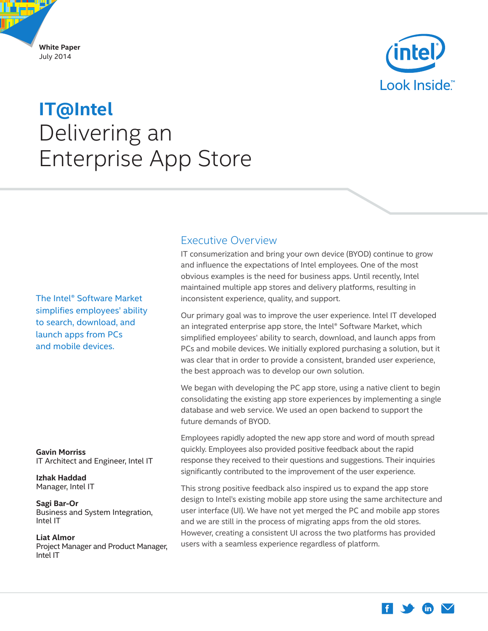<span id="page-0-0"></span>



# Delivering an Enterprise App Store **IT@Intel**

The Intel® Software Market simplifies employees' ability to search, download, and launch apps from PCs and mobile devices.

**Gavin Morriss** IT Architect and Engineer, Intel IT

**Izhak Haddad** Manager, Intel IT

### **Sagi Bar-Or**

Business and System Integration, Intel IT

### **Liat Almor**

Project Manager and Product Manager, Intel IT

# Executive Overview

IT consumerization and bring your own device (BYOD) continue to grow and influence the expectations of Intel employees. One of the most obvious examples is the need for business apps. Until recently, Intel maintained multiple app stores and delivery platforms, resulting in inconsistent experience, quality, and support.

Our primary goal was to improve the user experience. Intel IT developed an integrated enterprise app store, the Intel® Software Market, which simplified employees' ability to search, download, and launch apps from PCs and mobile devices. We initially explored purchasing a solution, but it was clear that in order to provide a consistent, branded user experience, the best approach was to develop our own solution.

We began with developing the PC app store, using a native client to begin consolidating the existing app store experiences by implementing a single database and web service. We used an open backend to support the future demands of BYOD.

Employees rapidly adopted the new app store and word of mouth spread quickly. Employees also provided positive feedback about the rapid response they received to their questions and suggestions. Their inquiries significantly contributed to the improvement of the user experience.

This strong positive feedback also inspired us to expand the app store design to Intel's existing mobile app store using the same architecture and user interface (UI). We have not yet merged the PC and mobile app stores and we are still in the process of migrating apps from the old stores. However, creating a consistent UI across the two platforms has provided users with a seamless experience regardless of platform.

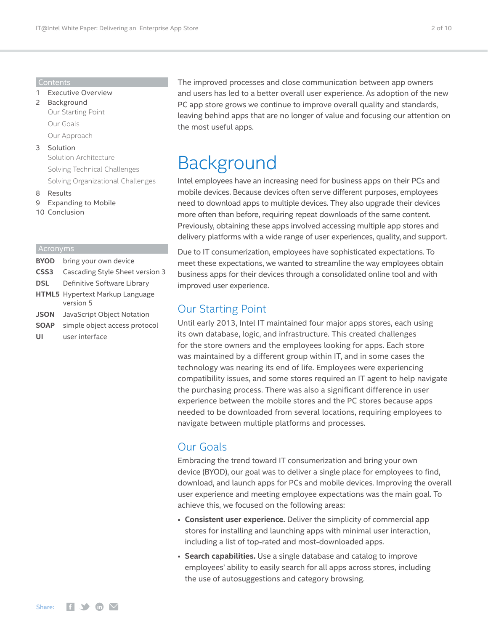#### Contents

- 1 [Executive Overview](#page-0-0)
- 2 Background Our Starting Point Our Goals [Our Approach](#page-2-0)
- 3 [Solution](#page-2-0)  [Solution Architecture](#page-3-0) [Solving Technical Challenges](#page-4-0)  [Solving Organizational Challenges](#page-6-0)
- 8 [Results](#page-7-0)
- 9 [Expanding to Mobile](#page-8-0)
- 10 [Conclusion](#page-9-0)

### Acronyms

- **BYOD** bring your own device
- **CSS3** Cascading Style Sheet version 3
- **DSL** Definitive Software Library
- **HTML5** Hypertext Markup Language version 5
- **JSON** JavaScript Object Notation
- **SOAP** simple object access protocol
- **UI** user interface

The improved processes and close communication between app owners and users has led to a better overall user experience. As adoption of the new PC app store grows we continue to improve overall quality and standards, leaving behind apps that are no longer of value and focusing our attention on the most useful apps.

# Background

Intel employees have an increasing need for business apps on their PCs and mobile devices. Because devices often serve different purposes, employees need to download apps to multiple devices. They also upgrade their devices more often than before, requiring repeat downloads of the same content. Previously, obtaining these apps involved accessing multiple app stores and delivery platforms with a wide range of user experiences, quality, and support.

Due to IT consumerization, employees have sophisticated expectations. To meet these expectations, we wanted to streamline the way employees obtain business apps for their devices through a consolidated online tool and with improved user experience.

## Our Starting Point

Until early 2013, Intel IT maintained four major apps stores, each using its own database, logic, and infrastructure. This created challenges for the store owners and the employees looking for apps. Each store was maintained by a different group within IT, and in some cases the technology was nearing its end of life. Employees were experiencing compatibility issues, and some stores required an IT agent to help navigate the purchasing process. There was also a significant difference in user experience between the mobile stores and the PC stores because apps needed to be downloaded from several locations, requiring employees to navigate between multiple platforms and processes.

# Our Goals

Embracing the trend toward IT consumerization and bring your own device (BYOD), our goal was to deliver a single place for employees to find, download, and launch apps for PCs and mobile devices. Improving the overall user experience and meeting employee expectations was the main goal. To achieve this, we focused on the following areas:

- **Consistent user experience.** Deliver the simplicity of commercial app stores for installing and launching apps with minimal user interaction, including a list of top-rated and most-downloaded apps.
- **Search capabilities.** Use a single database and catalog to improve employees' ability to easily search for all apps across stores, including the use of autosuggestions and category browsing.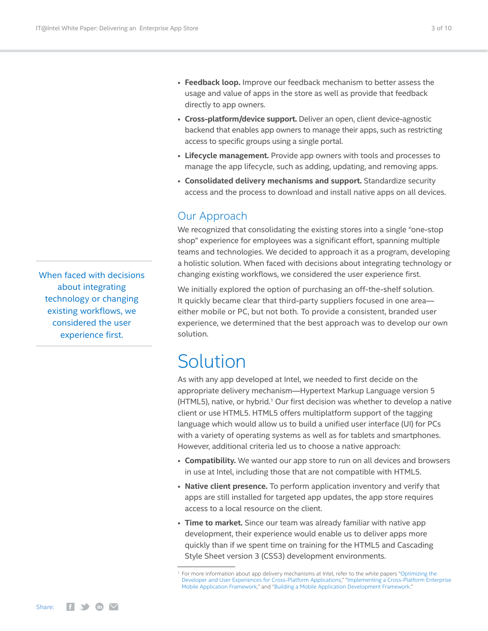When faced with decisions about integrating technology or changing existing workflows, we considered the user experience first.

- <span id="page-2-0"></span>• **Feedback loop.** Improve our feedback mechanism to better assess the usage and value of apps in the store as well as provide that feedback directly to app owners.
- **Cross-platform/device support.** Deliver an open, client device-agnostic backend that enables app owners to manage their apps, such as restricting access to specific groups using a single portal.
- **Lifecycle management.** Provide app owners with tools and processes to manage the app lifecycle, such as adding, updating, and removing apps.
- **Consolidated delivery mechanisms and support.** Standardize security access and the process to download and install native apps on all devices.

# Our Approach

We recognized that consolidating the existing stores into a single "one-stop shop" experience for employees was a significant effort, spanning multiple teams and technologies. We decided to approach it as a program, developing a holistic solution. When faced with decisions about integrating technology or changing existing workflows, we considered the user experience first.

We initially explored the option of purchasing an off-the-shelf solution. It quickly became clear that third-party suppliers focused in one area either mobile or PC, but not both. To provide a consistent, branded user experience, we determined that the best approach was to develop our own solution.

# Solution

As with any app developed at Intel, we needed to first decide on the appropriate delivery mechanism—Hypertext Markup Language version 5 (HTML5), native, or hybrid.<sup>1</sup> Our first decision was whether to develop a native client or use HTML5. HTML5 offers multiplatform support of the tagging language which would allow us to build a unified user interface (UI) for PCs with a variety of operating systems as well as for tablets and smartphones. However, additional criteria led us to choose a native approach:

- **Compatibility.** We wanted our app store to run on all devices and browsers in use at Intel, including those that are not compatible with HTML5.
- **Native client presence.** To perform application inventory and verify that apps are still installed for targeted app updates, the app store requires access to a local resource on the client.
- **Time to market.** Since our team was already familiar with native app development, their experience would enable us to deliver apps more quickly than if we spent time on training for the HTML5 and Cascading Style Sheet version 3 (CSS3) development environments.

<sup>1</sup> For more information about app delivery mechanisms at Intel, refer to the white papers "[Optimizing the](http://www.intel.com/content/www/us/en/it-management/intel-it-best-practices/optimizing-developer-and-user-experiences-for-cross-platform-applications-white-paper.html?wapkw=optimizing+the+developer+and+user+experiences+for+cross-platform+applications)  [Developer and User Experiences for Cross-Platform Applications](http://www.intel.com/content/www/us/en/it-management/intel-it-best-practices/optimizing-developer-and-user-experiences-for-cross-platform-applications-white-paper.html?wapkw=optimizing+the+developer+and+user+experiences+for+cross-platform+applications)," ["Implementing a Cross-Platform Enterprise](http://www.intel.com/content/www/us/en/it-management/intel-it-best-practices/implementing-a-cross-platform-enterprise-mobile-application-framework-paper.html?wapkw=implementing+a+cross-platform+enterprise+mobile+application+framework)  [Mobile Application Framework](http://www.intel.com/content/www/us/en/it-management/intel-it-best-practices/implementing-a-cross-platform-enterprise-mobile-application-framework-paper.html?wapkw=implementing+a+cross-platform+enterprise+mobile+application+framework)," and ["Building a Mobile Application Development Framework](http://www.intel.com/content/www/us/en/it-management/intel-it-best-practices/mobile-app-development-framework.html?wapkw=building+a+mobile+application+development+framework)."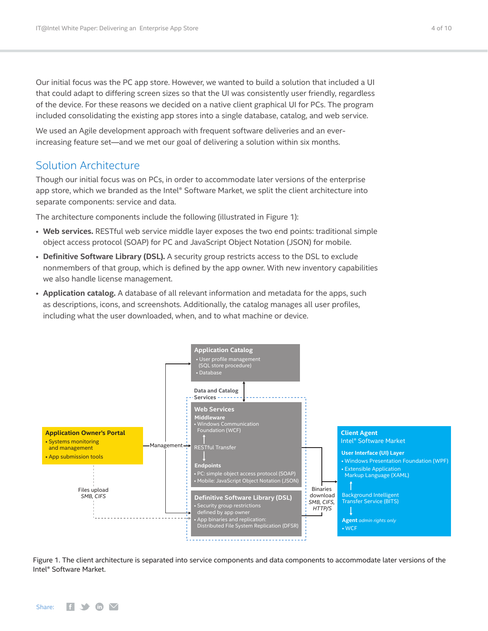<span id="page-3-0"></span>Our initial focus was the PC app store. However, we wanted to build a solution that included a UI that could adapt to differing screen sizes so that the UI was consistently user friendly, regardless of the device. For these reasons we decided on a native client graphical UI for PCs. The program included consolidating the existing app stores into a single database, catalog, and web service.

We used an Agile development approach with frequent software deliveries and an everincreasing feature set—and we met our goal of delivering a solution within six months.

# Solution Architecture

Though our initial focus was on PCs, in order to accommodate later versions of the enterprise app store, which we branded as the Intel® Software Market, we split the client architecture into separate components: service and data.

The architecture components include the following (illustrated in Figure 1):

- **Web services.** RESTful web service middle layer exposes the two end points: traditional simple object access protocol (SOAP) for PC and JavaScript Object Notation (JSON) for mobile.
- **Definitive Software Library (DSL).** A security group restricts access to the DSL to exclude nonmembers of that group, which is defined by the app owner. With new inventory capabilities we also handle license management.
- **Application catalog.** A database of all relevant information and metadata for the apps, such as descriptions, icons, and screenshots. Additionally, the catalog manages all user profiles, including what the user downloaded, when, and to what machine or device.



Figure 1. The client architecture is separated into service components and data components to accommodate later versions of the Intel® Software Market.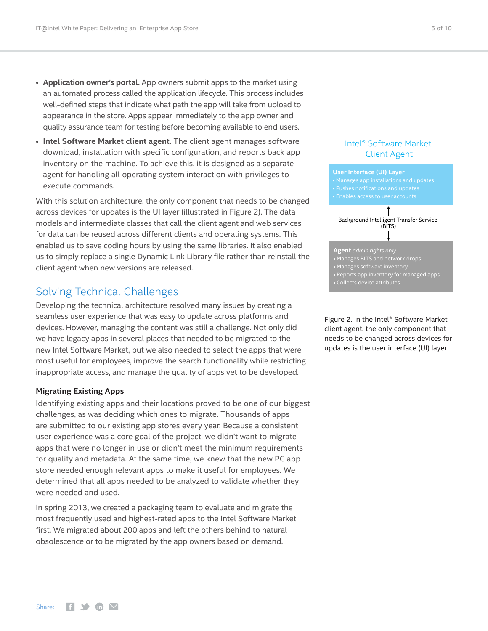- <span id="page-4-0"></span>• **Application owner's portal.** App owners submit apps to the market using an automated process called the application lifecycle. This process includes well-defined steps that indicate what path the app will take from upload to appearance in the store. Apps appear immediately to the app owner and quality assurance team for testing before becoming available to end users.
- **Intel Software Market client agent.** The client agent manages software download, installation with specific configuration, and reports back app inventory on the machine. To achieve this, it is designed as a separate agent for handling all operating system interaction with privileges to execute commands.

With this solution architecture, the only component that needs to be changed across devices for updates is the UI layer (illustrated in Figure 2). The data models and intermediate classes that call the client agent and web services for data can be reused across different clients and operating systems. This enabled us to save coding hours by using the same libraries. It also enabled us to simply replace a single Dynamic Link Library file rather than reinstall the client agent when new versions are released.

# Solving Technical Challenges

Developing the technical architecture resolved many issues by creating a seamless user experience that was easy to update across platforms and devices. However, managing the content was still a challenge. Not only did we have legacy apps in several places that needed to be migrated to the new Intel Software Market, but we also needed to select the apps that were most useful for employees, improve the search functionality while restricting inappropriate access, and manage the quality of apps yet to be developed.

### **Migrating Existing Apps**

Identifying existing apps and their locations proved to be one of our biggest challenges, as was deciding which ones to migrate. Thousands of apps are submitted to our existing app stores every year. Because a consistent user experience was a core goal of the project, we didn't want to migrate apps that were no longer in use or didn't meet the minimum requirements for quality and metadata. At the same time, we knew that the new PC app store needed enough relevant apps to make it useful for employees. We determined that all apps needed to be analyzed to validate whether they were needed and used.

In spring 2013, we created a packaging team to evaluate and migrate the most frequently used and highest-rated apps to the Intel Software Market first. We migrated about 200 apps and left the others behind to natural obsolescence or to be migrated by the app owners based on demand.

### Intel® Software Market Client Agent



Figure 2. In the Intel® Software Market client agent, the only component that needs to be changed across devices for updates is the user interface (UI) layer.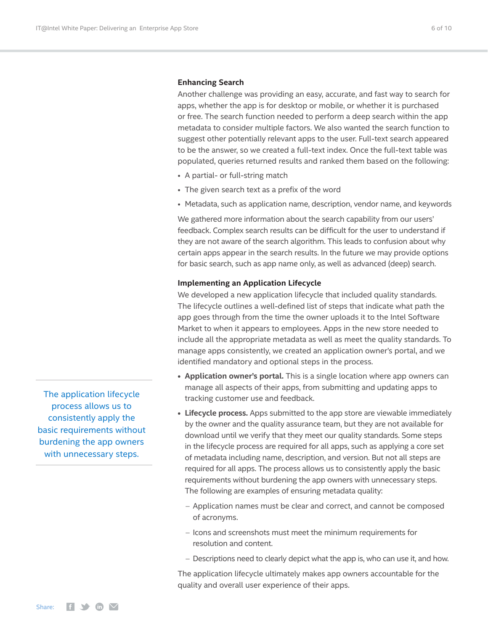#### **Enhancing Search**

Another challenge was providing an easy, accurate, and fast way to search for apps, whether the app is for desktop or mobile, or whether it is purchased or free. The search function needed to perform a deep search within the app metadata to consider multiple factors. We also wanted the search function to suggest other potentially relevant apps to the user. Full-text search appeared to be the answer, so we created a full-text index. Once the full-text table was populated, queries returned results and ranked them based on the following:

- A partial- or full-string match
- The given search text as a prefix of the word
- Metadata, such as application name, description, vendor name, and keywords

We gathered more information about the search capability from our users' feedback. Complex search results can be difficult for the user to understand if they are not aware of the search algorithm. This leads to confusion about why certain apps appear in the search results. In the future we may provide options for basic search, such as app name only, as well as advanced (deep) search.

#### **Implementing an Application Lifecycle**

We developed a new application lifecycle that included quality standards. The lifecycle outlines a well-defined list of steps that indicate what path the app goes through from the time the owner uploads it to the Intel Software Market to when it appears to employees. Apps in the new store needed to include all the appropriate metadata as well as meet the quality standards. To manage apps consistently, we created an application owner's portal, and we identified mandatory and optional steps in the process.

- **• Application owner's portal.** This is a single location where app owners can manage all aspects of their apps, from submitting and updating apps to tracking customer use and feedback.
- **• Lifecycle process.** Apps submitted to the app store are viewable immediately by the owner and the quality assurance team, but they are not available for download until we verify that they meet our quality standards. Some steps in the lifecycle process are required for all apps, such as applying a core set of metadata including name, description, and version. But not all steps are required for all apps. The process allows us to consistently apply the basic requirements without burdening the app owners with unnecessary steps. The following are examples of ensuring metadata quality:
	- Application names must be clear and correct, and cannot be composed of acronyms.
	- Icons and screenshots must meet the minimum requirements for resolution and content.
	- Descriptions need to clearly depict what the app is, who can use it, and how.

The application lifecycle ultimately makes app owners accountable for the quality and overall user experience of their apps.

The application lifecycle process allows us to consistently apply the basic requirements without burdening the app owners with unnecessary steps.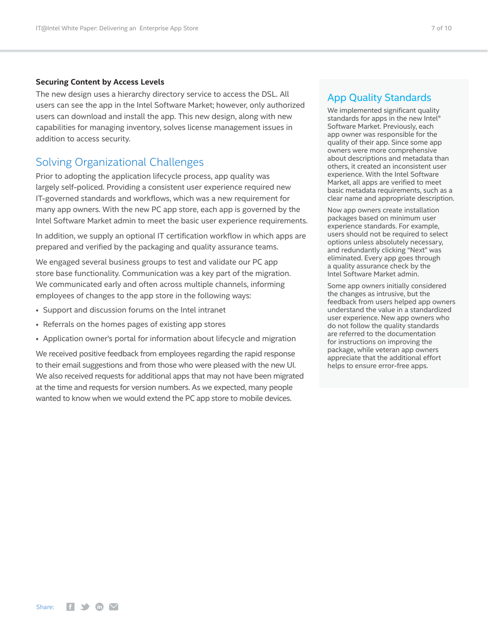#### <span id="page-6-0"></span>**Securing Content by Access Levels**

The new design uses a hierarchy directory service to access the DSL. All users can see the app in the Intel Software Market; however, only authorized users can download and install the app. This new design, along with new capabilities for managing inventory, solves license management issues in addition to access security.

### Solving Organizational Challenges

Prior to adopting the application lifecycle process, app quality was largely self-policed. Providing a consistent user experience required new IT-governed standards and workflows, which was a new requirement for many app owners. With the new PC app store, each app is governed by the Intel Software Market admin to meet the basic user experience requirements.

In addition, we supply an optional IT certification workflow in which apps are prepared and verified by the packaging and quality assurance teams.

We engaged several business groups to test and validate our PC app store base functionality. Communication was a key part of the migration. We communicated early and often across multiple channels, informing employees of changes to the app store in the following ways:

- Support and discussion forums on the Intel intranet
- Referrals on the homes pages of existing app stores
- Application owner's portal for information about lifecycle and migration

We received positive feedback from employees regarding the rapid response to their email suggestions and from those who were pleased with the new UI. We also received requests for additional apps that may not have been migrated at the time and requests for version numbers. As we expected, many people wanted to know when we would extend the PC app store to mobile devices.

### App Quality Standards

We implemented significant quality standards for apps in the new Intel® Software Market. Previously, each app owner was responsible for the quality of their app. Since some app owners were more comprehensive about descriptions and metadata than others, it created an inconsistent user experience. With the Intel Software Market, all apps are verified to meet basic metadata requirements, such as a clear name and appropriate description.

Now app owners create installation packages based on minimum user experience standards. For example, users should not be required to select options unless absolutely necessary, and redundantly clicking "Next" was eliminated. Every app goes through a quality assurance check by the Intel Software Market admin.

Some app owners initially considered the changes as intrusive, but the feedback from users helped app owners understand the value in a standardized user experience. New app owners who do not follow the quality standards are referred to the documentation for instructions on improving the package, while veteran app owners appreciate that the additional effort helps to ensure error-free apps.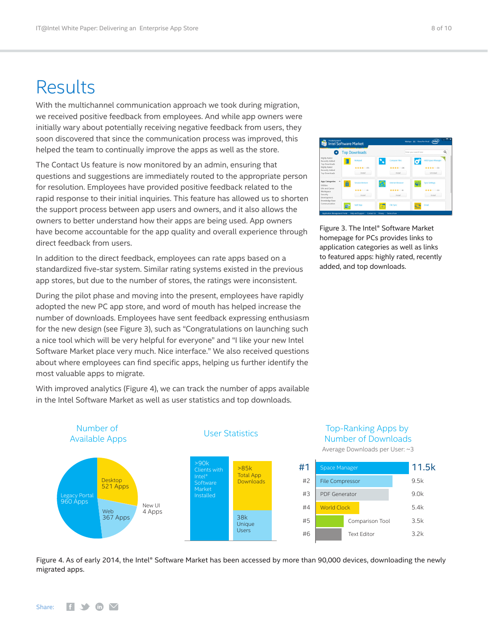# <span id="page-7-0"></span>Results

With the multichannel communication approach we took during migration, we received positive feedback from employees. And while app owners were initially wary about potentially receiving negative feedback from users, they soon discovered that since the communication process was improved, this helped the team to continually improve the apps as well as the store.

The Contact Us feature is now monitored by an admin, ensuring that questions and suggestions are immediately routed to the appropriate person for resolution. Employees have provided positive feedback related to the rapid response to their initial inquiries. This feature has allowed us to shorten the support process between app users and owners, and it also allows the owners to better understand how their apps are being used. App owners have become accountable for the app quality and overall experience through direct feedback from users.

In addition to the direct feedback, employees can rate apps based on a standardized five-star system. Similar rating systems existed in the previous app stores, but due to the number of stores, the ratings were inconsistent.

During the pilot phase and moving into the present, employees have rapidly adopted the new PC app store, and word of mouth has helped increase the number of downloads. Employees have sent feedback expressing enthusiasm for the new design (see Figure 3), such as "Congratulations on launching such a nice tool which will be very helpful for everyone" and "I like your new Intel Software Market place very much. Nice interface." We also received questions about where employees can find specific apps, helping us further identify the most valuable apps to migrate.

With improved analytics (Figure 4), we can track the number of apps available in the Intel Software Market as well as user statistics and top downloads.



Average Downloads per User: ~3



Figure 4. As of early 2014, the Intel® Software Market has been accessed by more than 90,000 devices, downloading the newly migrated apps.

| O                                               | <b>Top Downloads</b>        |                         | Q<br>Enter your search here    |  |
|-------------------------------------------------|-----------------------------|-------------------------|--------------------------------|--|
| Highly Rated<br>Recently Added<br>Top Downloads | Notepad<br>B                | Compare Files<br>Б      | E)<br><b>HDD Space Manager</b> |  |
| Highly Rated                                    | ***** 02                    | ***** 08                | ★★★★ 02                        |  |
| Recently Added<br><b>Top Downloads</b>          | Install                     | Install                 | Uninstall                      |  |
| <b>App Categories</b><br>۰<br><b>Thilbles</b>   | A<br><b>Session Restore</b> | <b>Internet Browser</b> | Sync Settings                  |  |
| Life and Career<br>Workspace                    | *** 000                     | **** 0.10               | *** 0.039                      |  |
| Security<br>Development                         | Install                     | Install                 | Install                        |  |

Figure 3. The Intel® Software Market homepage for PCs provides links to application categories as well as links to featured apps: highly rated, recently added, and top downloads.

#### Share: $H \rightarrow \infty$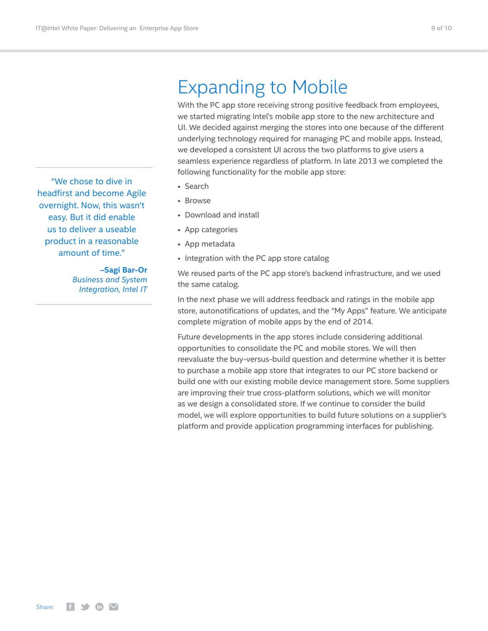# Expanding to Mobile

With the PC app store receiving strong positive feedback from employees, we started migrating Intel's mobile app store to the new architecture and UI. We decided against merging the stores into one because of the different underlying technology required for managing PC and mobile apps. Instead, we developed a consistent UI across the two platforms to give users a seamless experience regardless of platform. In late 2013 we completed the following functionality for the mobile app store:

- Search
- Browse
- Download and install
- App categories
- App metadata
- Integration with the PC app store catalog

We reused parts of the PC app store's backend infrastructure, and we used the same catalog.

In the next phase we will address feedback and ratings in the mobile app store, autonotifications of updates, and the "My Apps" feature. We anticipate complete migration of mobile apps by the end of 2014.

Future developments in the app stores include considering additional opportunities to consolidate the PC and mobile stores. We will then reevaluate the buy-versus-build question and determine whether it is better to purchase a mobile app store that integrates to our PC store backend or build one with our existing mobile device management store. Some suppliers are improving their true cross-platform solutions, which we will monitor as we design a consolidated store. If we continue to consider the build model, we will explore opportunities to build future solutions on a supplier's platform and provide application programming interfaces for publishing.

<span id="page-8-0"></span>"We chose to dive in headfirst and become Agile overnight. Now, this wasn't easy. But it did enable us to deliver a useable product in a reasonable amount of time."

> **–Sagi Bar-Or** *Business and System Integration, Intel IT*